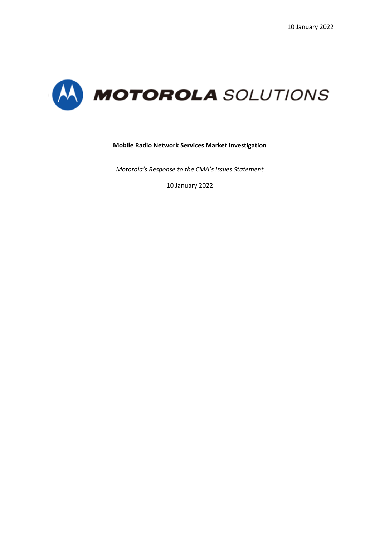

#### **Mobile Radio Network Services Market Investigation**

*Motorola's Response to the CMA's Issues Statement* 

10 January 2022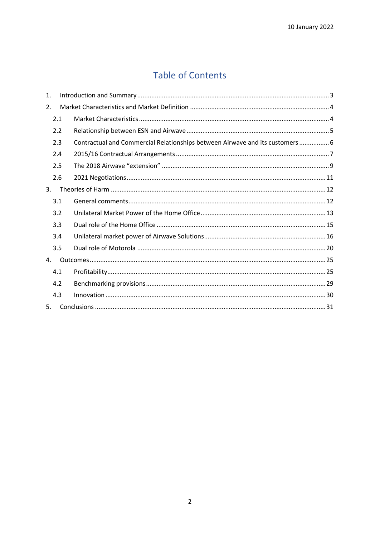# **Table of Contents**

| 1.  |  |                                                                               |  |  |  |  |
|-----|--|-------------------------------------------------------------------------------|--|--|--|--|
| 2.  |  |                                                                               |  |  |  |  |
| 2.1 |  |                                                                               |  |  |  |  |
| 2.2 |  |                                                                               |  |  |  |  |
| 2.3 |  | Contractual and Commercial Relationships between Airwave and its customers  6 |  |  |  |  |
| 2.4 |  |                                                                               |  |  |  |  |
| 2.5 |  |                                                                               |  |  |  |  |
| 2.6 |  |                                                                               |  |  |  |  |
| 3.  |  |                                                                               |  |  |  |  |
| 3.1 |  |                                                                               |  |  |  |  |
| 3.2 |  |                                                                               |  |  |  |  |
| 3.3 |  |                                                                               |  |  |  |  |
| 3.4 |  |                                                                               |  |  |  |  |
| 3.5 |  |                                                                               |  |  |  |  |
| 4.  |  |                                                                               |  |  |  |  |
| 4.1 |  |                                                                               |  |  |  |  |
| 4.2 |  |                                                                               |  |  |  |  |
| 4.3 |  |                                                                               |  |  |  |  |
| 5.  |  |                                                                               |  |  |  |  |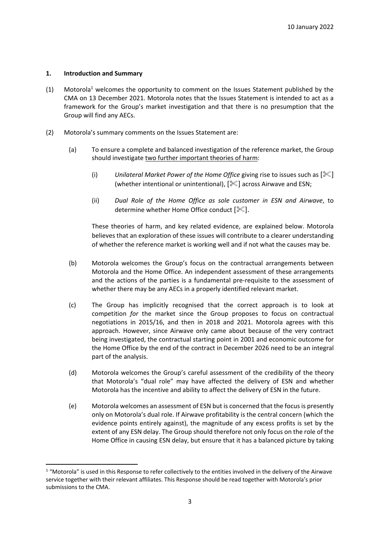## <span id="page-2-0"></span>**1. Introduction and Summary**

- (1) Motorola<sup>1</sup> welcomes the opportunity to comment on the Issues Statement published by the CMA on 13 December 2021. Motorola notes that the Issues Statement is intended to act as a framework for the Group's market investigation and that there is no presumption that the Group will find any AECs.
- (2) Motorola's summary comments on the Issues Statement are:
	- (a) To ensure a complete and balanced investigation of the reference market, the Group should investigate two further important theories of harm:
		- (i) *Unilateral Market Power of the Home Office* giving rise to issues such as [] (whether intentional or unintentional),  $[\mathcal{K}]$  across Airwave and ESN;
		- (ii) *Dual Role of the Home Office as sole customer in ESN and Airwave*, to determine whether Home Office conduct  $[\mathcal{K}].$

These theories of harm, and key related evidence, are explained below. Motorola believes that an exploration of these issues will contribute to a clearer understanding of whether the reference market is working well and if not what the causes may be.

- (b) Motorola welcomes the Group's focus on the contractual arrangements between Motorola and the Home Office. An independent assessment of these arrangements and the actions of the parties is a fundamental pre-requisite to the assessment of whether there may be any AECs in a properly identified relevant market.
- (c) The Group has implicitly recognised that the correct approach is to look at competition *for* the market since the Group proposes to focus on contractual negotiations in 2015/16, and then in 2018 and 2021. Motorola agrees with this approach. However, since Airwave only came about because of the very contract being investigated, the contractual starting point in 2001 and economic outcome for the Home Office by the end of the contract in December 2026 need to be an integral part of the analysis.
- (d) Motorola welcomes the Group's careful assessment of the credibility of the theory that Motorola's "dual role" may have affected the delivery of ESN and whether Motorola has the incentive and ability to affect the delivery of ESN in the future.
- <span id="page-2-1"></span>(e) Motorola welcomes an assessment of ESN but is concerned that the focus is presently only on Motorola's dual role. If Airwave profitability is the central concern (which the evidence points entirely against), the magnitude of any excess profits is set by the extent of any ESN delay. The Group should therefore not only focus on the role of the Home Office in causing ESN delay, but ensure that it has a balanced picture by taking

 $1$  "Motorola" is used in this Response to refer collectively to the entities involved in the delivery of the Airwave service together with their relevant affiliates. This Response should be read together with Motorola's prior submissions to the CMA.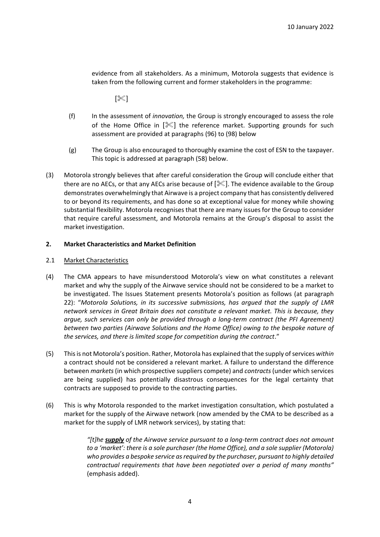evidence from all stakeholders. As a minimum, Motorola suggests that evidence is taken from the following current and former stakeholders in the programme:

 $|\mathcal{K}|$ 

- (f) In the assessment of *innovation,* the Group is strongly encouraged to assess the role of the Home Office in  $[\mathcal{K}]$  the reference market. Supporting grounds for such assessment are provided at paragraphs [\(96\)](#page-29-2) to [\(98\)](#page-29-3) below
- (g) The Group is also encouraged to thoroughly examine the cost of ESN to the taxpayer. This topic is addressed at paragraph [\(58\)](#page-15-1) below.
- (3) Motorola strongly believes that after careful consideration the Group will conclude either that there are no AECs, or that any AECs arise because of  $[$   $\ll$ ]. The evidence available to the Group demonstrates overwhelmingly that Airwave is a project company that has consistently delivered to or beyond its requirements, and has done so at exceptional value for money while showing substantial flexibility. Motorola recognises that there are many issues for the Group to consider that require careful assessment, and Motorola remains at the Group's disposal to assist the market investigation.

# <span id="page-3-0"></span>**2. Market Characteristics and Market Definition**

#### <span id="page-3-1"></span>2.1 Market Characteristics

- (4) The CMA appears to have misunderstood Motorola's view on what constitutes a relevant market and why the supply of the Airwave service should not be considered to be a market to be investigated. The Issues Statement presents Motorola's position as follows (at paragraph 22): "*Motorola Solutions, in its successive submissions, has argued that the supply of LMR network services in Great Britain does not constitute a relevant market. This is because, they argue, such services can only be provided through a long-term contract (the PFI Agreement) between two parties (Airwave Solutions and the Home Office) owing to the bespoke nature of the services, and there is limited scope for competition during the contract*."
- (5) This is not Motorola's position. Rather, Motorola has explained that the supply of services *within* a contract should not be considered a relevant market. A failure to understand the difference between *markets*(in which prospective suppliers compete) and *contracts*(under which services are being supplied) has potentially disastrous consequences for the legal certainty that contracts are supposed to provide to the contracting parties.
- (6) This is why Motorola responded to the market investigation consultation, which postulated a market for the supply of the Airwave network (now amended by the CMA to be described as a market for the supply of LMR network services), by stating that:

*"[t]he supply of the Airwave service pursuant to a long-term contract does not amount to a 'market': there is a sole purchaser (the Home Office), and a sole supplier (Motorola) who provides a bespoke service as required by the purchaser, pursuant to highly detailed contractual requirements that have been negotiated over a period of many months"* (emphasis added).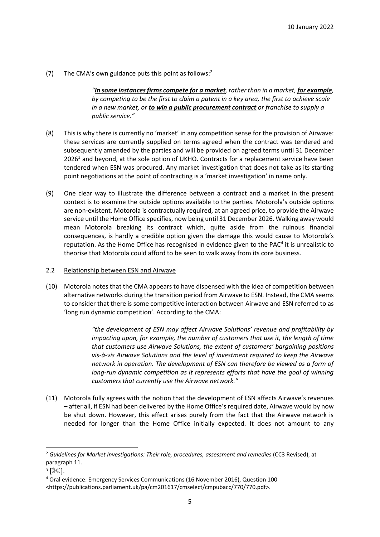(7) The CMA's own guidance puts this point as follows: 2

*"In some instances firms compete for a market, rather than in a market, for example, by competing to be the first to claim a patent in a key area, the first to achieve scale in a new market, or to win a public procurement contract or franchise to supply a public service."*

- (8) This is why there is currently no 'market' in any competition sense for the provision of Airwave: these services are currently supplied on terms agreed when the contract was tendered and subsequently amended by the parties and will be provided on agreed terms until 31 December 2026<sup>3</sup> and beyond, at the sole option of UKHO. Contracts for a replacement service have been tendered when ESN was procured. Any market investigation that does not take as its starting point negotiations at the point of contracting is a 'market investigation' in name only.
- (9) One clear way to illustrate the difference between a contract and a market in the present context is to examine the outside options available to the parties. Motorola's outside options are non-existent. Motorola is contractually required, at an agreed price, to provide the Airwave service until the Home Office specifies, now being until 31 December 2026. Walking away would mean Motorola breaking its contract which, quite aside from the ruinous financial consequences, is hardly a credible option given the damage this would cause to Motorola's reputation. As the Home Office has recognised in evidence given to the PAC<sup>4</sup> it is unrealistic to theorise that Motorola could afford to be seen to walk away from its core business.
- <span id="page-4-0"></span>2.2 Relationship between ESN and Airwave
- (10) Motorola notes that the CMA appears to have dispensed with the idea of competition between alternative networks during the transition period from Airwave to ESN. Instead, the CMA seems to consider that there is some competitive interaction between Airwave and ESN referred to as 'long run dynamic competition'. According to the CMA:

*"the development of ESN may affect Airwave Solutions' revenue and profitability by impacting upon, for example, the number of customers that use it, the length of time that customers use Airwave Solutions, the extent of customers' bargaining positions vis-à-vis Airwave Solutions and the level of investment required to keep the Airwave network in operation. The development of ESN can therefore be viewed as a form of long-run dynamic competition as it represents efforts that have the goal of winning customers that currently use the Airwave network."*

(11) Motorola fully agrees with the notion that the development of ESN affects Airwave's revenues – after all, if ESN had been delivered by the Home Office's required date, Airwave would by now be shut down. However, this effect arises purely from the fact that the Airwave network is needed for longer than the Home Office initially expected. It does not amount to any

<sup>2</sup> *Guidelines for Market Investigations: Their role, procedures, assessment and remedies* (CC3 Revised), at paragraph 11.

<sup>3 [</sup>S].

<sup>4</sup> Oral evidence: Emergency Services Communications (16 November 2016), Question 100 <https://publications.parliament.uk/pa/cm201617/cmselect/cmpubacc/770/770.pdf>.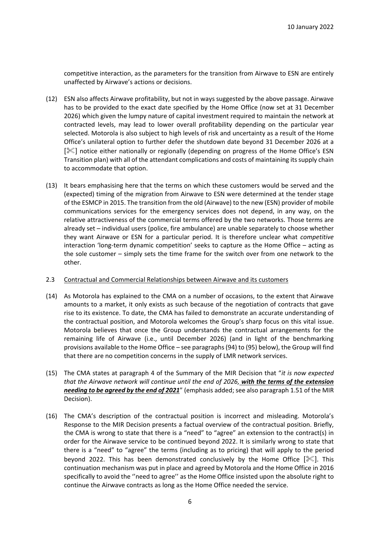competitive interaction, as the parameters for the transition from Airwave to ESN are entirely unaffected by Airwave's actions or decisions.

- (12) ESN also affects Airwave profitability, but not in ways suggested by the above passage. Airwave has to be provided to the exact date specified by the Home Office (now set at 31 December 2026) which given the lumpy nature of capital investment required to maintain the network at contracted levels, may lead to lower overall profitability depending on the particular year selected. Motorola is also subject to high levels of risk and uncertainty as a result of the Home Office's unilateral option to further defer the shutdown date beyond 31 December 2026 at a  $[\mathcal{K}]$  notice either nationally or regionally (depending on progress of the Home Office's ESN Transition plan) with all of the attendant complications and costs of maintaining its supply chain to accommodate that option.
- (13) It bears emphasising here that the terms on which these customers would be served and the (expected) timing of the migration from Airwave to ESN were determined at the tender stage of the ESMCP in 2015. The transition from the old (Airwave) to the new (ESN) provider of mobile communications services for the emergency services does not depend, in any way, on the relative attractiveness of the commercial terms offered by the two networks. Those terms are already set – individual users (police, fire ambulance) are unable separately to choose whether they want Airwave or ESN for a particular period. It is therefore unclear what *competitive* interaction 'long-term dynamic competition' seeks to capture as the Home Office – acting as the sole customer – simply sets the time frame for the switch over from one network to the other.

#### <span id="page-5-0"></span>2.3 Contractual and Commercial Relationships between Airwave and its customers

- (14) As Motorola has explained to the CMA on a number of occasions, to the extent that Airwave amounts to a market, it only exists as such because of the negotiation of contracts that gave rise to its existence. To date, the CMA has failed to demonstrate an accurate understanding of the contractual position, and Motorola welcomes the Group's sharp focus on this vital issue. Motorola believes that once the Group understands the contractual arrangements for the remaining life of Airwave (i.e., until December 2026) (and in light of the benchmarking provisions available to the Home Office – see paragraphs[\(94\)](#page-28-1) t[o \(95\)](#page-29-4) below), the Group will find that there are no competition concerns in the supply of LMR network services.
- (15) The CMA states at paragraph 4 of the Summary of the MIR Decision that "*it is now expected that the Airwave network will continue until the end of 2026, with the terms of the extension needing to be agreed by the end of 2021*" (emphasis added; see also paragraph 1.51 of the MIR Decision).
- (16) The CMA's description of the contractual position is incorrect and misleading. Motorola's Response to the MIR Decision presents a factual overview of the contractual position. Briefly, the CMA is wrong to state that there is a "need" to "agree" an extension to the contract(s) in order for the Airwave service to be continued beyond 2022. It is similarly wrong to state that there is a "need" to "agree" the terms (including as to pricing) that will apply to the period beyond 2022. This has been demonstrated conclusively by the Home Office  $[\mathscr{K}]$ . This continuation mechanism was put in place and agreed by Motorola and the Home Office in 2016 specifically to avoid the ''need to agree'' as the Home Office insisted upon the absolute right to continue the Airwave contracts as long as the Home Office needed the service.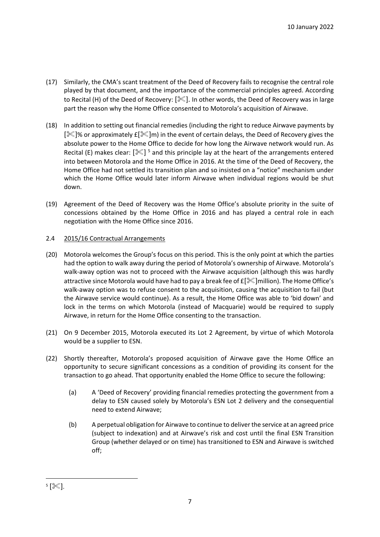- (17) Similarly, the CMA's scant treatment of the Deed of Recovery fails to recognise the central role played by that document, and the importance of the commercial principles agreed. According to Recital (H) of the Deed of Recovery:  $\ll$ . In other words, the Deed of Recovery was in large part the reason why the Home Office consented to Motorola's acquisition of Airwave.
- (18) In addition to setting out financial remedies (including the right to reduce Airwave payments by  $[\mathcal{K}]$ % or approximately  $f[\mathcal{K}]$ m) in the event of certain delays, the Deed of Recovery gives the absolute power to the Home Office to decide for how long the Airwave network would run. As Recital (E) makes clear:  $[$   $\ll$   $]$  <sup>5</sup> and this principle lay at the heart of the arrangements entered into between Motorola and the Home Office in 2016. At the time of the Deed of Recovery, the Home Office had not settled its transition plan and so insisted on a "notice" mechanism under which the Home Office would later inform Airwave when individual regions would be shut down.
- (19) Agreement of the Deed of Recovery was the Home Office's absolute priority in the suite of concessions obtained by the Home Office in 2016 and has played a central role in each negotiation with the Home Office since 2016.

# <span id="page-6-0"></span>2.4 2015/16 Contractual Arrangements

- (20) Motorola welcomes the Group's focus on this period. This is the only point at which the parties had the option to walk away during the period of Motorola's ownership of Airwave. Motorola's walk-away option was not to proceed with the Airwave acquisition (although this was hardly attractive since Motorola would have had to pay a break fee of  $f$   $\sim$  million). The Home Office's walk-away option was to refuse consent to the acquisition, causing the acquisition to fail (but the Airwave service would continue). As a result, the Home Office was able to 'bid down' and lock in the terms on which Motorola (instead of Macquarie) would be required to supply Airwave, in return for the Home Office consenting to the transaction.
- (21) On 9 December 2015, Motorola executed its Lot 2 Agreement, by virtue of which Motorola would be a supplier to ESN.
- (22) Shortly thereafter, Motorola's proposed acquisition of Airwave gave the Home Office an opportunity to secure significant concessions as a condition of providing its consent for the transaction to go ahead. That opportunity enabled the Home Office to secure the following:
	- (a) A 'Deed of Recovery' providing financial remedies protecting the government from a delay to ESN caused solely by Motorola's ESN Lot 2 delivery and the consequential need to extend Airwave;
	- (b) A perpetual obligation for Airwave to continue to deliver the service at an agreed price (subject to indexation) and at Airwave's risk and cost until the final ESN Transition Group (whether delayed or on time) has transitioned to ESN and Airwave is switched off;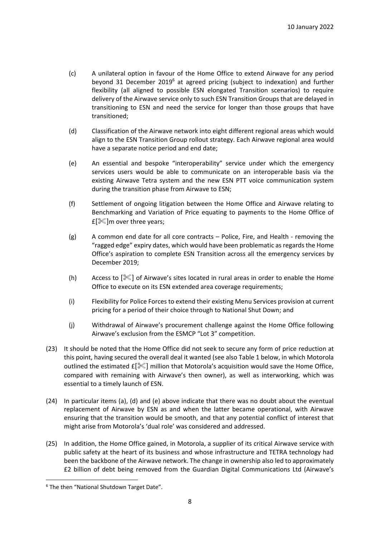- (c) A unilateral option in favour of the Home Office to extend Airwave for any period beyond 31 December 2019<sup>6</sup> at agreed pricing (subject to indexation) and further flexibility (all aligned to possible ESN elongated Transition scenarios) to require delivery of the Airwave service only to such ESN Transition Groups that are delayed in transitioning to ESN and need the service for longer than those groups that have transitioned;
- (d) Classification of the Airwave network into eight different regional areas which would align to the ESN Transition Group rollout strategy. Each Airwave regional area would have a separate notice period and end date;
- (e) An essential and bespoke "interoperability" service under which the emergency services users would be able to communicate on an interoperable basis via the existing Airwave Tetra system and the new ESN PTT voice communication system during the transition phase from Airwave to ESN;
- (f) Settlement of ongoing litigation between the Home Office and Airwave relating to Benchmarking and Variation of Price equating to payments to the Home Office of  $f$ [ $\mathcal{K}$ ]m over three years;
- (g) A common end date for all core contracts Police, Fire, and Health removing the "ragged edge" expiry dates, which would have been problematic as regards the Home Office's aspiration to complete ESN Transition across all the emergency services by December 2019;
- (h) Access to  $\ll$  of Airwave's sites located in rural areas in order to enable the Home Office to execute on its ESN extended area coverage requirements;
- (i) Flexibility for Police Forces to extend their existing Menu Services provision at current pricing for a period of their choice through to National Shut Down; and
- (j) Withdrawal of Airwave's procurement challenge against the Home Office following Airwave's exclusion from the ESMCP "Lot 3" competition.
- (23) It should be noted that the Home Office did not seek to secure any form of price reduction at this point, having secured the overall deal it wanted (see also Table 1 below, in which Motorola outlined the estimated  $E[\mathcal{K}]$  million that Motorola's acquisition would save the Home Office, compared with remaining with Airwave's then owner), as well as interworking, which was essential to a timely launch of ESN.
- (24) In particular items (a), (d) and (e) above indicate that there was no doubt about the eventual replacement of Airwave by ESN as and when the latter became operational, with Airwave ensuring that the transition would be smooth, and that any potential conflict of interest that might arise from Motorola's 'dual role' was considered and addressed.
- (25) In addition, the Home Office gained, in Motorola, a supplier of its critical Airwave service with public safety at the heart of its business and whose infrastructure and TETRA technology had been the backbone of the Airwave network. The change in ownership also led to approximately £2 billion of debt being removed from the Guardian Digital Communications Ltd (Airwave's

<sup>6</sup> The then "National Shutdown Target Date".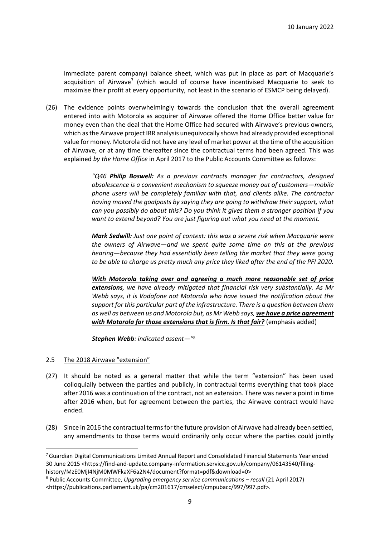immediate parent company) balance sheet, which was put in place as part of Macquarie's acquisition of Airwave<sup>7</sup> (which would of course have incentivised Macquarie to seek to maximise their profit at every opportunity, not least in the scenario of ESMCP being delayed).

(26) The evidence points overwhelmingly towards the conclusion that the overall agreement entered into with Motorola as acquirer of Airwave offered the Home Office better value for money even than the deal that the Home Office had secured with Airwave's previous owners, which as the Airwave project IRR analysis unequivocally shows had already provided exceptional value for money. Motorola did not have any level of market power at the time of the acquisition of Airwave, or at any time thereafter since the contractual terms had been agreed. This was explained *by the Home Office* in April 2017 to the Public Accounts Committee as follows:

> *"Q46 Philip Boswell: As a previous contracts manager for contractors, designed obsolescence is a convenient mechanism to squeeze money out of customers—mobile phone users will be completely familiar with that, and clients alike. The contractor having moved the goalposts by saying they are going to withdraw their support, what can you possibly do about this? Do you think it gives them a stronger position if you want to extend beyond? You are just figuring out what you need at the moment.*

> *Mark Sedwill: Just one point of context: this was a severe risk when Macquarie were the owners of Airwave—and we spent quite some time on this at the previous hearing—because they had essentially been telling the market that they were going to be able to charge us pretty much any price they liked after the end of the PFI 2020.*

> *With Motorola taking over and agreeing a much more reasonable set of price extensions, we have already mitigated that financial risk very substantially. As Mr Webb says, it is Vodafone not Motorola who have issued the notification about the support for this particular part of the infrastructure. There is a question between them as well as between us and Motorola but, as Mr Webb says, we have a price agreement with Motorola for those extensions that is firm. Is that fair?* (emphasis added)

*Stephen Webb: indicated assent—"* 8

#### <span id="page-8-0"></span>2.5 The 2018 Airwave "extension"

- (27) It should be noted as a general matter that while the term "extension" has been used colloquially between the parties and publicly, in contractual terms everything that took place after 2016 was a continuation of the contract, not an extension. There was never a point in time after 2016 when, but for agreement between the parties, the Airwave contract would have ended.
- (28) Since in 2016 the contractual terms for the future provision of Airwave had already been settled, any amendments to those terms would ordinarily only occur where the parties could jointly

<sup>7</sup>Guardian Digital Communications Limited Annual Report and Consolidated Financial Statements Year ended 30 June 2015 <https://find-and-update.company-information.service.gov.uk/company/06143540/filinghistory/MzE0MjI4NjM0MWFkaXF6a2N4/document?format=pdf&download=0>

<sup>8</sup> Public Accounts Committee, *Upgrading emergency service communications – recall* (21 April 2017) <https://publications.parliament.uk/pa/cm201617/cmselect/cmpubacc/997/997.pdf>.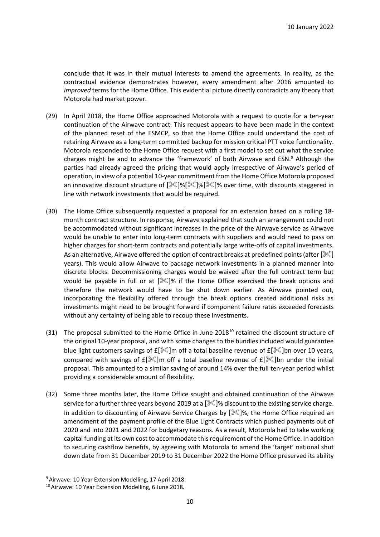conclude that it was in their mutual interests to amend the agreements. In reality, as the contractual evidence demonstrates however, every amendment after 2016 amounted to *improved* terms for the Home Office. This evidential picture directly contradicts any theory that Motorola had market power.

- (29) In April 2018, the Home Office approached Motorola with a request to quote for a ten-year continuation of the Airwave contract. This request appears to have been made in the context of the planned reset of the ESMCP, so that the Home Office could understand the cost of retaining Airwave as a long-term committed backup for mission critical PTT voice functionality. Motorola responded to the Home Office request with a first model to set out what the service charges might be and to advance the 'framework' of both Airwave and ESN. <sup>9</sup> Although the parties had already agreed the pricing that would apply irrespective of Airwave's period of operation, in view of a potential 10-year commitment from the Home Office Motorola proposed an innovative discount structure of [ $\mathcal{X}$ ]%[ $\mathcal{X}$ ]% over time, with discounts staggered in line with network investments that would be required.
- (30) The Home Office subsequently requested a proposal for an extension based on a rolling 18 month contract structure. In response, Airwave explained that such an arrangement could not be accommodated without significant increases in the price of the Airwave service as Airwave would be unable to enter into long-term contracts with suppliers and would need to pass on higher charges for short-term contracts and potentially large write-offs of capital investments. As an alternative, Airwave offered the option of contract breaks at predefined points (after  $[\mathcal{K}]$ years). This would allow Airwave to package network investments in a planned manner into discrete blocks. Decommissioning charges would be waived after the full contract term but would be payable in full or at  $[\mathscr{K}]$ % if the Home Office exercised the break options and therefore the network would have to be shut down earlier. As Airwave pointed out, incorporating the flexibility offered through the break options created additional risks as investments might need to be brought forward if component failure rates exceeded forecasts without any certainty of being able to recoup these investments.
- (31) The proposal submitted to the Home Office in June 2018<sup>10</sup> retained the discount structure of the original 10-year proposal, and with some changes to the bundles included would guarantee blue light customers savings of  $f^*$  m off a total baseline revenue of  $f^*$  jbn over 10 years, compared with savings of  $E[\mathcal{K}]$ m off a total baseline revenue of  $E[\mathcal{K}]$ bn under the initial proposal. This amounted to a similar saving of around 14% over the full ten-year period whilst providing a considerable amount of flexibility.
- (32) Some three months later, the Home Office sought and obtained continuation of the Airwave service for a further three years beyond 2019 at a  $\mathcal{K}$  % discount to the existing service charge. In addition to discounting of Airwave Service Charges by  $[\mathcal{K}]\%$ , the Home Office required an amendment of the payment profile of the Blue Light Contracts which pushed payments out of 2020 and into 2021 and 2022 for budgetary reasons. As a result, Motorola had to take working capital funding at its own cost to accommodate this requirement of the Home Office. In addition to securing cashflow benefits, by agreeing with Motorola to amend the 'target' national shut down date from 31 December 2019 to 31 December 2022 the Home Office preserved its ability

<sup>9</sup> Airwave: 10 Year Extension Modelling, 17 April 2018.

<sup>10</sup> Airwave: 10 Year Extension Modelling, 6 June 2018.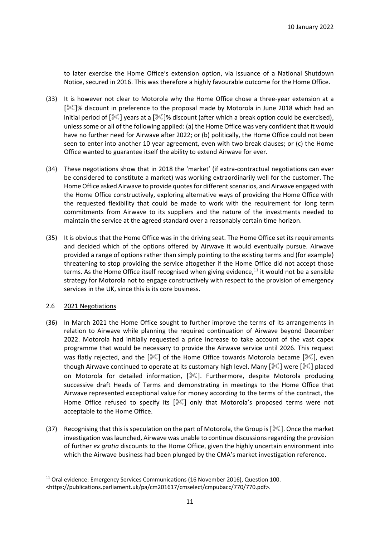to later exercise the Home Office's extension option, via issuance of a National Shutdown Notice, secured in 2016. This was therefore a highly favourable outcome for the Home Office.

- (33) It is however not clear to Motorola why the Home Office chose a three-year extension at a []% discount in preference to the proposal made by Motorola in June 2018 which had an initial period of  $[\mathcal{K}]$  years at a  $[\mathcal{K}]$ % discount (after which a break option could be exercised), unless some or all of the following applied: (a) the Home Office was very confident that it would have no further need for Airwave after 2022; or (b) politically, the Home Office could not been seen to enter into another 10 year agreement, even with two break clauses; or (c) the Home Office wanted to guarantee itself the ability to extend Airwave for ever.
- (34) These negotiations show that in 2018 the 'market' (if extra-contractual negotiations can ever be considered to constitute a market) was working extraordinarily well for the customer. The Home Office asked Airwave to provide quotes for different scenarios, and Airwave engaged with the Home Office constructively, exploring alternative ways of providing the Home Office with the requested flexibility that could be made to work with the requirement for long term commitments from Airwave to its suppliers and the nature of the investments needed to maintain the service at the agreed standard over a reasonably certain time horizon.
- (35) It is obvious that the Home Office was in the driving seat. The Home Office set its requirements and decided which of the options offered by Airwave it would eventually pursue. Airwave provided a range of options rather than simply pointing to the existing terms and (for example) threatening to stop providing the service altogether if the Home Office did not accept those terms. As the Home Office itself recognised when giving evidence,<sup>11</sup> it would not be a sensible strategy for Motorola not to engage constructively with respect to the provision of emergency services in the UK, since this is its core business.

#### <span id="page-10-0"></span>2.6 2021 Negotiations

- (36) In March 2021 the Home Office sought to further improve the terms of its arrangements in relation to Airwave while planning the required continuation of Airwave beyond December 2022. Motorola had initially requested a price increase to take account of the vast capex programme that would be necessary to provide the Airwave service until 2026. This request was flatly rejected, and the  $[\mathcal{K}]$  of the Home Office towards Motorola became  $[\mathcal{K}]$ , even though Airwave continued to operate at its customary high level. Many  $[\mathscr{K}]$  were  $[\mathscr{K}]$  placed on Motorola for detailed information, []. Furthermore, despite Motorola producing successive draft Heads of Terms and demonstrating in meetings to the Home Office that Airwave represented exceptional value for money according to the terms of the contract, the Home Office refused to specify its  $[\mathcal{K}]$  only that Motorola's proposed terms were not acceptable to the Home Office.
- (37) Recognising that this is speculation on the part of Motorola, the Group is  $[\mathscr{K}]$ . Once the market investigation was launched, Airwave was unable to continue discussions regarding the provision of further *ex gratia* discounts to the Home Office, given the highly uncertain environment into which the Airwave business had been plunged by the CMA's market investigation reference.

<sup>&</sup>lt;sup>11</sup> Oral evidence: Emergency Services Communications (16 November 2016), Question 100. <https://publications.parliament.uk/pa/cm201617/cmselect/cmpubacc/770/770.pdf>.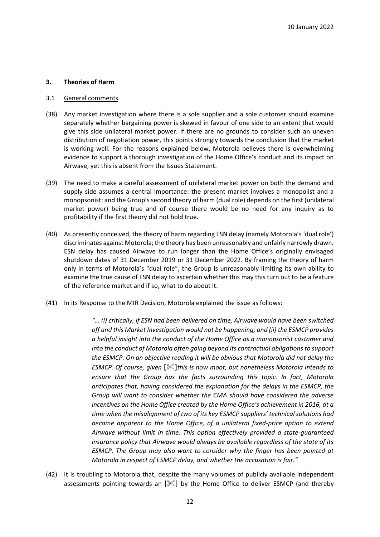## <span id="page-11-0"></span>**3. Theories of Harm**

#### <span id="page-11-1"></span>3.1 General comments

- (38) Any market investigation where there is a sole supplier and a sole customer should examine separately whether bargaining power is skewed in favour of one side to an extent that would give this side unilateral market power. If there are no grounds to consider such an uneven distribution of negotiation power, this points strongly towards the conclusion that the market is working well. For the reasons explained below, Motorola believes there is overwhelming evidence to support a thorough investigation of the Home Office's conduct and its impact on Airwave, yet this is absent from the Issues Statement.
- (39) The need to make a careful assessment of unilateral market power on both the demand and supply side assumes a central importance: the present market involves a monopolist and a monopsonist; and the Group's second theory of harm (dual role) depends on the first (unilateral market power) being true and of course there would be no need for any inquiry as to profitability if the first theory did not hold true.
- (40) As presently conceived, the theory of harm regarding ESN delay (namely Motorola's 'dual role') discriminates against Motorola; the theory has been unreasonably and unfairly narrowly drawn. ESN delay has caused Airwave to run longer than the Home Office's originally envisaged shutdown dates of 31 December 2019 or 31 December 2022. By framing the theory of harm only in terms of Motorola's "dual role", the Group is unreasonably limiting its own ability to examine the true cause of ESN delay to ascertain whether this may this turn out to be a feature of the reference market and if so, what to do about it.
- (41) In its Response to the MIR Decision, Motorola explained the issue as follows:

*"… (i) critically, if ESN had been delivered on time, Airwave would have been switched off and this Market Investigation would not be happening; and (ii) the ESMCP provides a helpful insight into the conduct of the Home Office as a monopsonist customer and into the conduct of Motorola often going beyond its contractual obligations to support the ESMCP. On an objective reading it will be obvious that Motorola did not delay the ESMCP. Of course, given* []*this is now moot, but nonetheless Motorola intends to ensure that the Group has the facts surrounding this topic. In fact, Motorola anticipates that, having considered the explanation for the delays in the ESMCP, the Group will want to consider whether the CMA should have considered the adverse incentives on the Home Office created by the Home Office's achievement in 2016, at a time when the misalignment of two of its key ESMCP suppliers' technical solutions had become apparent to the Home Office, of a unilateral fixed-price option to extend Airwave without limit in time. This option effectively provided a state-guaranteed insurance policy that Airwave would always be available regardless of the state of its ESMCP. The Group may also want to consider why the finger has been pointed at Motorola in respect of ESMCP delay, and whether the accusation is fair."*

(42) It is troubling to Motorola that, despite the many volumes of publicly available independent assessments pointing towards an  $[\mathcal{K}]$  by the Home Office to deliver ESMCP (and thereby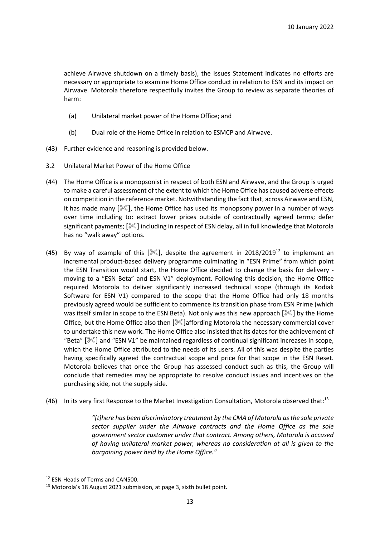achieve Airwave shutdown on a timely basis), the Issues Statement indicates no efforts are necessary or appropriate to examine Home Office conduct in relation to ESN and its impact on Airwave. Motorola therefore respectfully invites the Group to review as separate theories of harm:

- (a) Unilateral market power of the Home Office; and
- (b) Dual role of the Home Office in relation to ESMCP and Airwave.
- (43) Further evidence and reasoning is provided below.

#### <span id="page-12-0"></span>3.2 Unilateral Market Power of the Home Office

- (44) The Home Office is a monopsonist in respect of both ESN and Airwave, and the Group is urged to make a careful assessment of the extent to which the Home Office has caused adverse effects on competition in the reference market. Notwithstanding the fact that, across Airwave and ESN, it has made many  $[\mathscr{K}]$ , the Home Office has used its monopsony power in a number of ways over time including to: extract lower prices outside of contractually agreed terms; defer significant payments;  $[\mathcal{K}]$  including in respect of ESN delay, all in full knowledge that Motorola has no "walk away" options.
- (45) By way of example of this  $[\mathcal{K}]$ , despite the agreement in 2018/2019<sup>12</sup> to implement an incremental product-based delivery programme culminating in "ESN Prime" from which point the ESN Transition would start, the Home Office decided to change the basis for delivery moving to a "ESN Beta" and ESN V1" deployment. Following this decision, the Home Office required Motorola to deliver significantly increased technical scope (through its Kodiak Software for ESN V1) compared to the scope that the Home Office had only 18 months previously agreed would be sufficient to commence its transition phase from ESN Prime (which was itself similar in scope to the ESN Beta). Not only was this new approach  $\mathcal{K}$  by the Home Office, but the Home Office also then  $[$ <sup> $\&$ </sup>  $]$ affording Motorola the necessary commercial cover to undertake this new work. The Home Office also insisted that its dates for the achievement of "Beta"  $[\mathscr{K}]$  and "ESN V1" be maintained regardless of continual significant increases in scope, which the Home Office attributed to the needs of its users. All of this was despite the parties having specifically agreed the contractual scope and price for that scope in the ESN Reset. Motorola believes that once the Group has assessed conduct such as this, the Group will conclude that remedies may be appropriate to resolve conduct issues and incentives on the purchasing side, not the supply side.
- (46) In its very first Response to the Market Investigation Consultation, Motorola observed that:<sup>13</sup>

*"[t]here has been discriminatory treatment by the CMA of Motorola as the sole private sector supplier under the Airwave contracts and the Home Office as the sole government sector customer under that contract. Among others, Motorola is accused of having unilateral market power, whereas no consideration at all is given to the bargaining power held by the Home Office."*

<sup>12</sup> ESN Heads of Terms and CAN500.

<sup>&</sup>lt;sup>13</sup> Motorola's 18 August 2021 submission, at page 3, sixth bullet point.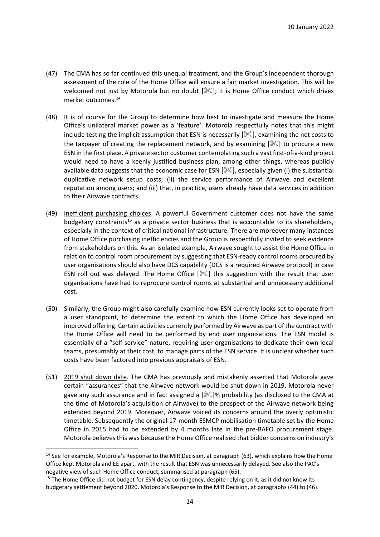- (47) The CMA has so far continued this unequal treatment, and the Group's independent thorough assessment of the role of the Home Office will ensure a fair market investigation. This will be welcomed not just by Motorola but no doubt [ $\mathcal{K}$ ]; it is Home Office conduct which drives market outcomes.<sup>14</sup>
- (48) It is of course for the Group to determine how best to investigate and measure the Home Office's unilateral market power as a 'feature'. Motorola respectfully notes that this might include testing the implicit assumption that ESN is necessarily  $[\mathcal{K}]$ , examining the net costs to the taxpayer of creating the replacement network, and by examining  $\mathcal{K}$  to procure a new ESN in the first place. A private sector customer contemplating such a vast first-of-a-kind project would need to have a keenly justified business plan, among other things, whereas publicly available data suggests that the economic case for ESN  $[\mathcal{K}]$ , especially given (i) the substantial duplicative network setup costs; (ii) the service performance of Airwave and excellent reputation among users; and (iii) that, in practice, users already have data services in addition to their Airwave contracts.
- (49) Inefficient purchasing choices. A powerful Government customer does not have the same budgetary constraints<sup>15</sup> as a private sector business that is accountable to its shareholders, especially in the context of critical national infrastructure. There are moreover many instances of Home Office purchasing inefficiencies and the Group is respectfully invited to seek evidence from stakeholders on this. As an isolated example, Airwave sought to assist the Home Office in relation to control room procurement by suggesting that ESN-ready control rooms procured by user organisations should also have DCS capability (DCS is a required Airwave protocol) in case ESN roll out was delayed. The Home Office  $[$  this suggestion with the result that user organisations have had to reprocure control rooms at substantial and unnecessary additional cost.
- (50) Similarly, the Group might also carefully examine how ESN currently looks set to operate from a user standpoint, to determine the extent to which the Home Office has developed an improved offering. Certain activities currently performed by Airwave as part of the contract with the Home Office will need to be performed by end user organisations. The ESN model is essentially of a "self-service" nature, requiring user organisations to dedicate their own local teams, presumably at their cost, to manage parts of the ESN service. It is unclear whether such costs have been factored into previous appraisals of ESN.
- (51) 2019 shut down date. The CMA has previously and mistakenly asserted that Motorola gave certain "assurances" that the Airwave network would be shut down in 2019. Motorola never gave any such assurance and in fact assigned a [ $\mathcal{K}$ ]% probability (as disclosed to the CMA at the time of Motorola's acquisition of Airwave) to the prospect of the Airwave network being extended beyond 2019. Moreover, Airwave voiced its concerns around the overly optimistic timetable. Subsequently the original 17-month ESMCP mobilisation timetable set by the Home Office in 2015 had to be extended by 4 months late in the pre-BAFO procurement stage. Motorola believes this was because the Home Office realised that bidder concerns on industry's

<sup>&</sup>lt;sup>14</sup> See for example, Motorola's Response to the MIR Decision, at paragraph (63), which explains how the Home Office kept Motorola and EE apart, with the result that ESN was unnecessarily delayed. See also the PAC's negative view of such Home Office conduct, summarised at paragraph (65).

<sup>&</sup>lt;sup>15</sup> The Home Office did not budget for ESN delay contingency, despite relying on it, as it did not know its budgetary settlement beyond 2020. Motorola's Response to the MIR Decision, at paragraphs (44) to (46).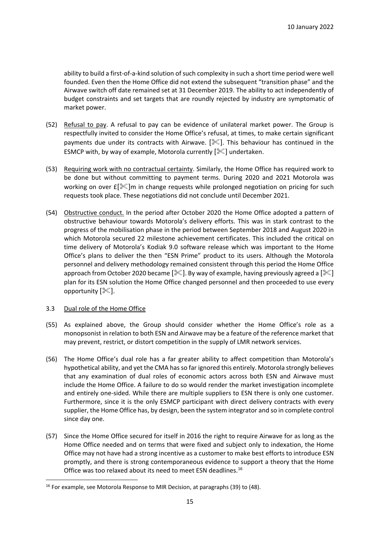ability to build a first-of-a-kind solution of such complexity in such a short time period were well founded. Even then the Home Office did not extend the subsequent "transition phase" and the Airwave switch off date remained set at 31 December 2019. The ability to act independently of budget constraints and set targets that are roundly rejected by industry are symptomatic of market power.

- (52) Refusal to pay. A refusal to pay can be evidence of unilateral market power. The Group is respectfully invited to consider the Home Office's refusal, at times, to make certain significant payments due under its contracts with Airwave.  $[\mathcal{K}]$ . This behaviour has continued in the ESMCP with, by way of example, Motorola currently  $[\mathcal{K}]$  undertaken.
- (53) Requiring work with no contractual certainty. Similarly, the Home Office has required work to be done but without committing to payment terms. During 2020 and 2021 Motorola was working on over  $f[\mathcal{K}]$ m in change requests while prolonged negotiation on pricing for such requests took place. These negotiations did not conclude until December 2021.
- (54) Obstructive conduct. In the period after October 2020 the Home Office adopted a pattern of obstructive behaviour towards Motorola's delivery efforts. This was in stark contrast to the progress of the mobilisation phase in the period between September 2018 and August 2020 in which Motorola secured 22 milestone achievement certificates. This included the critical on time delivery of Motorola's Kodiak 9.0 software release which was important to the Home Office's plans to deliver the then "ESN Prime" product to its users. Although the Motorola personnel and delivery methodology remained consistent through this period the Home Office approach from October 2020 became  $[\&]$ . By way of example, having previously agreed a  $[\&]$ plan for its ESN solution the Home Office changed personnel and then proceeded to use every opportunity  $[\mathcal{K}]$ .

# <span id="page-14-0"></span>3.3 Dual role of the Home Office

- (55) As explained above, the Group should consider whether the Home Office's role as a monopsonist in relation to both ESN and Airwave may be a feature of the reference market that may prevent, restrict, or distort competition in the supply of LMR network services.
- (56) The Home Office's dual role has a far greater ability to affect competition than Motorola's hypothetical ability, and yet the CMA has so far ignored this entirely. Motorola strongly believes that any examination of dual roles of economic actors across both ESN and Airwave must include the Home Office. A failure to do so would render the market investigation incomplete and entirely one-sided. While there are multiple suppliers to ESN there is only one customer. Furthermore, since it is the only ESMCP participant with direct delivery contracts with every supplier, the Home Office has, by design, been the system integrator and so in complete control since day one.
- (57) Since the Home Office secured for itself in 2016 the right to require Airwave for as long as the Home Office needed and on terms that were fixed and subject only to indexation, the Home Office may not have had a strong incentive as a customer to make best efforts to introduce ESN promptly, and there is strong contemporaneous evidence to support a theory that the Home Office was too relaxed about its need to meet ESN deadlines.<sup>16</sup>

 $16$  For example, see Motorola Response to MIR Decision, at paragraphs (39) to (48).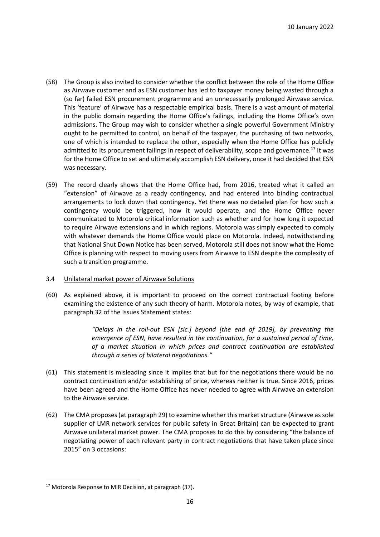- <span id="page-15-1"></span>(58) The Group is also invited to consider whether the conflict between the role of the Home Office as Airwave customer and as ESN customer has led to taxpayer money being wasted through a (so far) failed ESN procurement programme and an unnecessarily prolonged Airwave service. This 'feature' of Airwave has a respectable empirical basis. There is a vast amount of material in the public domain regarding the Home Office's failings, including the Home Office's own admissions. The Group may wish to consider whether a single powerful Government Ministry ought to be permitted to control, on behalf of the taxpayer, the purchasing of two networks, one of which is intended to replace the other, especially when the Home Office has publicly admitted to its procurement failings in respect of deliverability, scope and governance.<sup>17</sup> It was for the Home Office to set and ultimately accomplish ESN delivery, once it had decided that ESN was necessary.
- (59) The record clearly shows that the Home Office had, from 2016, treated what it called an "extension" of Airwave as a ready contingency, and had entered into binding contractual arrangements to lock down that contingency. Yet there was no detailed plan for how such a contingency would be triggered, how it would operate, and the Home Office never communicated to Motorola critical information such as whether and for how long it expected to require Airwave extensions and in which regions. Motorola was simply expected to comply with whatever demands the Home Office would place on Motorola. Indeed, notwithstanding that National Shut Down Notice has been served, Motorola still does not know what the Home Office is planning with respect to moving users from Airwave to ESN despite the complexity of such a transition programme.
- <span id="page-15-0"></span>3.4 Unilateral market power of Airwave Solutions
- (60) As explained above, it is important to proceed on the correct contractual footing before examining the existence of any such theory of harm. Motorola notes, by way of example, that paragraph 32 of the Issues Statement states:

*"Delays in the roll-out ESN [sic.] beyond [the end of 2019], by preventing the emergence of ESN, have resulted in the continuation, for a sustained period of time, of a market situation in which prices and contract continuation are established through a series of bilateral negotiations."*

- (61) This statement is misleading since it implies that but for the negotiations there would be no contract continuation and/or establishing of price, whereas neither is true. Since 2016, prices have been agreed and the Home Office has never needed to agree with Airwave an extension to the Airwave service.
- (62) The CMA proposes (at paragraph 29) to examine whether this market structure (Airwave as sole supplier of LMR network services for public safety in Great Britain) can be expected to grant Airwave unilateral market power. The CMA proposes to do this by considering "the balance of negotiating power of each relevant party in contract negotiations that have taken place since 2015" on 3 occasions:

<sup>17</sup> Motorola Response to MIR Decision, at paragraph (37).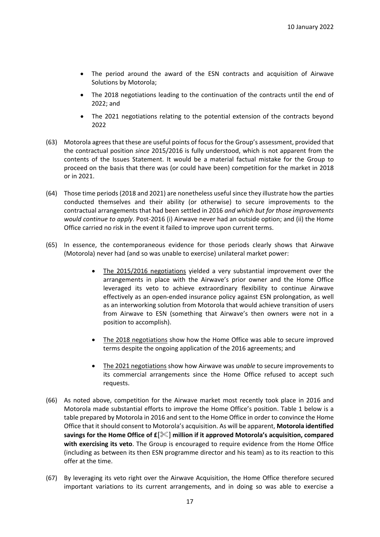- The period around the award of the ESN contracts and acquisition of Airwave Solutions by Motorola;
- The 2018 negotiations leading to the continuation of the contracts until the end of 2022; and
- The 2021 negotiations relating to the potential extension of the contracts beyond 2022
- (63) Motorola agrees that these are useful points of focus for the Group's assessment, provided that the contractual position *since* 2015/2016 is fully understood, which is not apparent from the contents of the Issues Statement. It would be a material factual mistake for the Group to proceed on the basis that there was (or could have been) competition for the market in 2018 or in 2021.
- (64) Those time periods (2018 and 2021) are nonetheless useful since they illustrate how the parties conducted themselves and their ability (or otherwise) to secure improvements to the contractual arrangements that had been settled in 2016 *and which but for those improvements would continue to apply*. Post-2016 (i) Airwave never had an outside option; and (ii) the Home Office carried no risk in the event it failed to improve upon current terms.
- (65) In essence, the contemporaneous evidence for those periods clearly shows that Airwave (Motorola) never had (and so was unable to exercise) unilateral market power:
	- The 2015/2016 negotiations yielded a very substantial improvement over the arrangements in place with the Airwave's prior owner and the Home Office leveraged its veto to achieve extraordinary flexibility to continue Airwave effectively as an open-ended insurance policy against ESN prolongation, as well as an interworking solution from Motorola that would achieve transition of users from Airwave to ESN (something that Airwave's then owners were not in a position to accomplish).
	- The 2018 negotiations show how the Home Office was able to secure improved terms despite the ongoing application of the 2016 agreements; and
	- The 2021 negotiations show how Airwave was *unable* to secure improvements to its commercial arrangements since the Home Office refused to accept such requests.
- (66) As noted above, competition for the Airwave market most recently took place in 2016 and Motorola made substantial efforts to improve the Home Office's position. Table 1 below is a table prepared by Motorola in 2016 and sent to the Home Office in order to convince the Home Office that it should consent to Motorola's acquisition. As will be apparent, **Motorola identified savings for the Home Office of £**[] **million if it approved Motorola's acquisition, compared with exercising its veto**. The Group is encouraged to require evidence from the Home Office (including as between its then ESN programme director and his team) as to its reaction to this offer at the time.
- (67) By leveraging its veto right over the Airwave Acquisition, the Home Office therefore secured important variations to its current arrangements, and in doing so was able to exercise a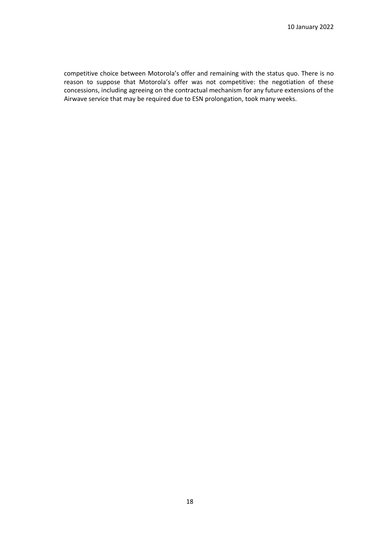competitive choice between Motorola's offer and remaining with the status quo. There is no reason to suppose that Motorola's offer was not competitive: the negotiation of these concessions, including agreeing on the contractual mechanism for any future extensions of the Airwave service that may be required due to ESN prolongation, took many weeks.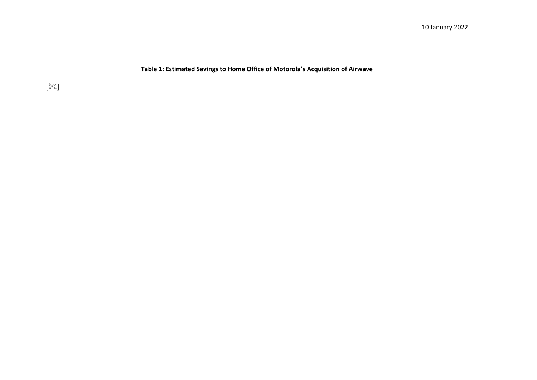**Table 1: Estimated Savings to Home Office of Motorola's Acquisition of Airwave**

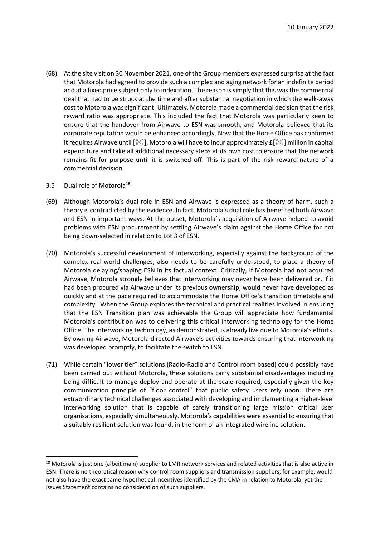(68) At the site visit on 30 November 2021, one of the Group members expressed surprise at the fact that Motorola had agreed to provide such a complex and aging network for an indefinite period and at a fixed price subject only to indexation. The reason is simply that this was the commercial deal that had to be struck at the time and after substantial negotiation in which the walk-away cost to Motorola was significant. Ultimately, Motorola made a commercial decision that the risk reward ratio was appropriate. This included the fact that Motorola was particularly keen to ensure that the handover from Airwave to ESN was smooth, and Motorola believed that its corporate reputation would be enhanced accordingly. Now that the Home Office has confirmed it requires Airwave until  $[\mathcal{K}],$  Motorola will have to incur approximately  $f[\mathcal{K}]$  million in capital expenditure and take all additional necessary steps at its own cost to ensure that the network remains fit for purpose until it is switched off. This is part of the risk reward nature of a commercial decision.

# <span id="page-19-0"></span>3.5 Dual role of Motorola**<sup>18</sup>**

- (69) Although Motorola's dual role in ESN and Airwave is expressed as a theory of harm, such a theory is contradicted by the evidence. In fact, Motorola's dual role has benefited both Airwave and ESN in important ways. At the outset, Motorola's acquisition of Airwave helped to avoid problems with ESN procurement by settling Airwave's claim against the Home Office for not being down-selected in relation to Lot 3 of ESN.
- (70) Motorola's successful development of interworking, especially against the background of the complex real-world challenges, also needs to be carefully understood, to place a theory of Motorola delaying/shaping ESN in its factual context. Critically, if Motorola had not acquired Airwave, Motorola strongly believes that interworking may never have been delivered or, if it had been procured via Airwave under its previous ownership, would never have developed as quickly and at the pace required to accommodate the Home Office's transition timetable and complexity. When the Group explores the technical and practical realities involved in ensuring that the ESN Transition plan was achievable the Group will appreciate how fundamental Motorola's contribution was to delivering this critical Interworking technology for the Home Office. The interworking technology, as demonstrated, is already live due to Motorola's efforts. By owning Airwave, Motorola directed Airwave's activities towards ensuring that interworking was developed promptly, to facilitate the switch to ESN.
- (71) While certain "lower tier" solutions (Radio-Radio and Control room based) could possibly have been carried out without Motorola, these solutions carry substantial disadvantages including being difficult to manage deploy and operate at the scale required, especially given the key communication principle of "floor control" that public safety users rely upon. There are extraordinary technical challenges associated with developing and implementing a higher-level interworking solution that is capable of safely transitioning large mission critical user organisations, especially simultaneously. Motorola's capabilities were essential to ensuring that a suitably resilient solution was found, in the form of an integrated wireline solution.

<sup>&</sup>lt;sup>18</sup> Motorola is just one (albeit main) supplier to LMR network services and related activities that is also active in ESN. There is no theoretical reason why control room suppliers and transmission suppliers, for example, would not also have the exact same hypothetical incentives identified by the CMA in relation to Motorola, yet the Issues Statement contains no consideration of such suppliers.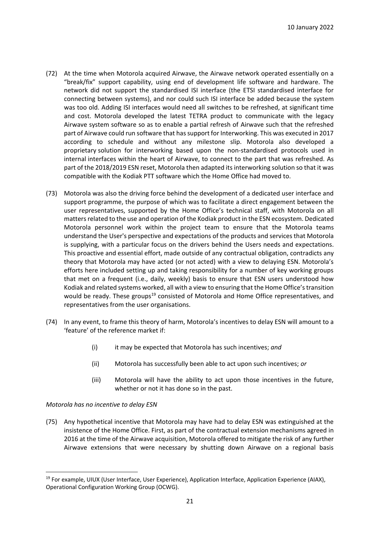- (72) At the time when Motorola acquired Airwave, the Airwave network operated essentially on a "break/fix" support capability, using end of development life software and hardware. The network did not support the standardised ISI interface (the ETSI standardised interface for connecting between systems), and nor could such ISI interface be added because the system was too old. Adding ISI interfaces would need all switches to be refreshed, at significant time and cost. Motorola developed the latest TETRA product to communicate with the legacy Airwave system software so as to enable a partial refresh of Airwave such that the refreshed part of Airwave could run software that has support for Interworking. This was executed in 2017 according to schedule and without any milestone slip. Motorola also developed a proprietary solution for interworking based upon the non-standardised protocols used in internal interfaces within the heart of Airwave, to connect to the part that was refreshed. As part of the 2018/2019 ESN reset, Motorola then adapted its interworking solution so that it was compatible with the Kodiak PTT software which the Home Office had moved to.
- (73) Motorola was also the driving force behind the development of a dedicated user interface and support programme, the purpose of which was to facilitate a direct engagement between the user representatives, supported by the Home Office's technical staff, with Motorola on all matters related to the use and operation of the Kodiak product in the ESN ecosystem. Dedicated Motorola personnel work within the project team to ensure that the Motorola teams understand the User's perspective and expectations of the products and services that Motorola is supplying, with a particular focus on the drivers behind the Users needs and expectations. This proactive and essential effort, made outside of any contractual obligation, contradicts any theory that Motorola may have acted (or not acted) with a view to delaying ESN. Motorola's efforts here included setting up and taking responsibility for a number of key working groups that met on a frequent (i.e., daily, weekly) basis to ensure that ESN users understood how Kodiak and related systems worked, all with a view to ensuring that the Home Office's transition would be ready. These groups<sup>19</sup> consisted of Motorola and Home Office representatives, and representatives from the user organisations.
- (74) In any event, to frame this theory of harm, Motorola's incentives to delay ESN will amount to a 'feature' of the reference market if:
	- (i) it may be expected that Motorola has such incentives; *and*
	- (ii) Motorola has successfully been able to act upon such incentives; *or*
	- (iii) Motorola will have the ability to act upon those incentives in the future, whether or not it has done so in the past.

#### *Motorola has no incentive to delay ESN*

(75) Any hypothetical incentive that Motorola may have had to delay ESN was extinguished at the insistence of the Home Office. First, as part of the contractual extension mechanisms agreed in 2016 at the time of the Airwave acquisition, Motorola offered to mitigate the risk of any further Airwave extensions that were necessary by shutting down Airwave on a regional basis

<sup>&</sup>lt;sup>19</sup> For example, UIUX (User Interface, User Experience), Application Interface, Application Experience (AIAX), Operational Configuration Working Group (OCWG).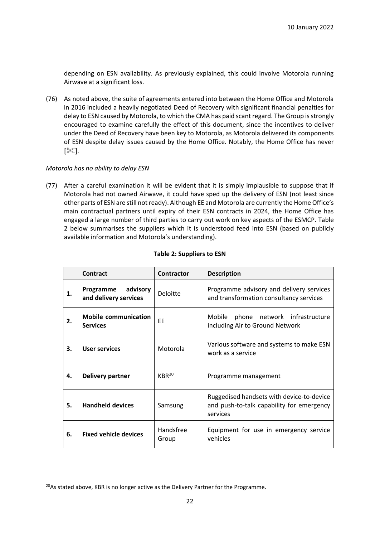depending on ESN availability. As previously explained, this could involve Motorola running Airwave at a significant loss.

(76) As noted above, the suite of agreements entered into between the Home Office and Motorola in 2016 included a heavily negotiated Deed of Recovery with significant financial penalties for delay to ESN caused by Motorola, to which the CMA has paid scant regard. The Group is strongly encouraged to examine carefully the effect of this document, since the incentives to deliver under the Deed of Recovery have been key to Motorola, as Motorola delivered its components of ESN despite delay issues caused by the Home Office. Notably, the Home Office has never  $|\&|$ .

# *Motorola has no ability to delay ESN*

(77) After a careful examination it will be evident that it is simply implausible to suppose that if Motorola had not owned Airwave, it could have sped up the delivery of ESN (not least since other parts of ESN are still not ready). Although EE and Motorola are currently the Home Office's main contractual partners until expiry of their ESN contracts in 2024, the Home Office has engaged a large number of third parties to carry out work on key aspects of the ESMCP. Table 2 below summarises the suppliers which it is understood feed into ESN (based on publicly available information and Motorola's understanding).

|    | <b>Contract</b>                                | <b>Contractor</b>  | <b>Description</b>                                                                                 |
|----|------------------------------------------------|--------------------|----------------------------------------------------------------------------------------------------|
| 1. | Programme<br>advisory<br>and delivery services | <b>Deloitte</b>    | Programme advisory and delivery services<br>and transformation consultancy services                |
| 2. | <b>Mobile communication</b><br><b>Services</b> | EE                 | Mobile phone network infrastructure<br>including Air to Ground Network                             |
| З. | <b>User services</b>                           | Motorola           | Various software and systems to make ESN<br>work as a service                                      |
| 4. | Delivery partner                               | $KBR^{20}$         | Programme management                                                                               |
| 5. | <b>Handheld devices</b>                        | Samsung            | Ruggedised handsets with device-to-device<br>and push-to-talk capability for emergency<br>services |
| 6. | <b>Fixed vehicle devices</b>                   | Handsfree<br>Group | Equipment for use in emergency service<br>vehicles                                                 |

# **Table 2: Suppliers to ESN**

 $20$ As stated above, KBR is no longer active as the Delivery Partner for the Programme.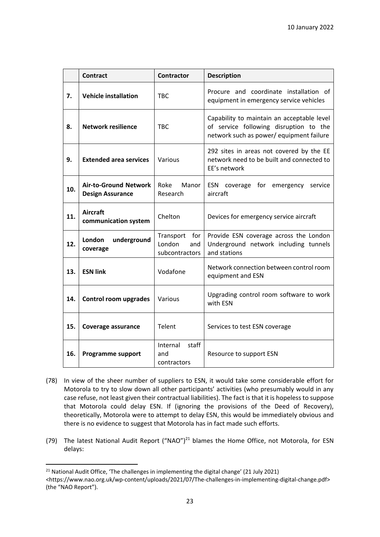|     | <b>Contract</b>                                         | <b>Contractor</b>                                | <b>Description</b>                                                                                                               |
|-----|---------------------------------------------------------|--------------------------------------------------|----------------------------------------------------------------------------------------------------------------------------------|
| 7.  | <b>Vehicle installation</b>                             | <b>TBC</b>                                       | Procure and coordinate installation of<br>equipment in emergency service vehicles                                                |
| 8.  | <b>Network resilience</b>                               | <b>TBC</b>                                       | Capability to maintain an acceptable level<br>of service following disruption to the<br>network such as power/ equipment failure |
| 9.  | <b>Extended area services</b>                           | Various                                          | 292 sites in areas not covered by the EE<br>network need to be built and connected to<br>EE's network                            |
| 10. | <b>Air-to-Ground Network</b><br><b>Design Assurance</b> | Roke<br>Manor<br>Research                        | ESN coverage for emergency<br>service<br>aircraft                                                                                |
| 11. | <b>Aircraft</b><br>communication system                 | Chelton                                          | Devices for emergency service aircraft                                                                                           |
| 12. | London<br>underground<br>coverage                       | Transport for<br>London<br>and<br>subcontractors | Provide ESN coverage across the London<br>Underground network including tunnels<br>and stations                                  |
| 13. | <b>ESN link</b>                                         | Vodafone                                         | Network connection between control room<br>equipment and ESN                                                                     |
| 14. | Control room upgrades                                   | Various                                          | Upgrading control room software to work<br>with ESN                                                                              |
| 15. | Coverage assurance                                      | Telent                                           | Services to test ESN coverage                                                                                                    |
| 16. | <b>Programme support</b>                                | staff<br>Internal<br>and<br>contractors          | Resource to support ESN                                                                                                          |

- (78) In view of the sheer number of suppliers to ESN, it would take some considerable effort for Motorola to try to slow down all other participants' activities (who presumably would in any case refuse, not least given their contractual liabilities). The fact is that it is hopeless to suppose that Motorola could delay ESN. If (ignoring the provisions of the Deed of Recovery), theoretically, Motorola were to attempt to delay ESN, this would be immediately obvious and there is no evidence to suggest that Motorola has in fact made such efforts.
- (79) The latest National Audit Report ("NAO")<sup>21</sup> blames the Home Office, not Motorola, for ESN delays:

 $21$  National Audit Office, 'The challenges in implementing the digital change' (21 July 2021)

<sup>&</sup>lt;https://www.nao.org.uk/wp-content/uploads/2021/07/The-challenges-in-implementing-digital-change.pdf> (the "NAO Report").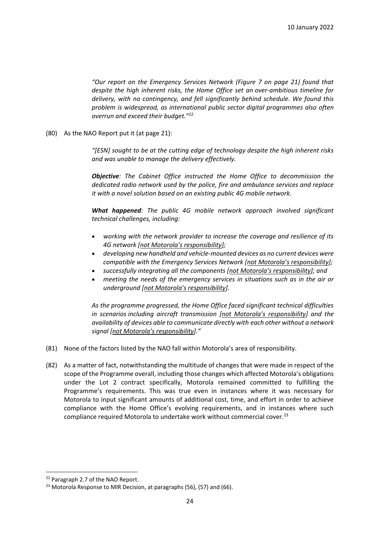*"Our report on the Emergency Services Network (Figure 7 on page 21) found that despite the high inherent risks, the Home Office set an over-ambitious timeline for delivery, with no contingency, and fell significantly behind schedule. We found this problem is widespread, as international public sector digital programmes also often overrun and exceed their budget."<sup>22</sup>*

(80) As the NAO Report put it (at page 21):

*"[ESN] sought to be at the cutting edge of technology despite the high inherent risks and was unable to manage the delivery effectively.*

*Objective: The Cabinet Office instructed the Home Office to decommission the dedicated radio network used by the police, fire and ambulance services and replace it with a novel solution based on an existing public 4G mobile network.*

*What happened: The public 4G mobile network approach involved significant technical challenges, including:*

- *working with the network provider to increase the coverage and resilience of its 4G network [not Motorola's responsibility];*
- *developing new handheld and vehicle-mounted devices as no current devices were compatible with the Emergency Services Network [not Motorola's responsibility];*
- *successfully integrating all the components [not Motorola's responsibility]; and*
- *meeting the needs of the emergency services in situations such as in the air or underground [not Motorola's responsibility].*

*As the programme progressed, the Home Office faced significant technical difficulties in scenarios including aircraft transmission [not Motorola's responsibility] and the availability of devices able to communicate directly with each other without a network signal [not Motorola's responsibility]."*

- (81) None of the factors listed by the NAO fall within Motorola's area of responsibility.
- (82) As a matter of fact, notwithstanding the multitude of changes that were made in respect of the scope of the Programme overall, including those changes which affected Motorola's obligations under the Lot 2 contract specifically, Motorola remained committed to fulfilling the Programme's requirements. This was true even in instances where it was necessary for Motorola to input significant amounts of additional cost, time, and effort in order to achieve compliance with the Home Office's evolving requirements, and in instances where such compliance required Motorola to undertake work without commercial cover.<sup>23</sup>

<sup>&</sup>lt;sup>22</sup> Paragraph 2.7 of the NAO Report.

<sup>&</sup>lt;sup>23</sup> Motorola Response to MIR Decision, at paragraphs (56), (57) and (66).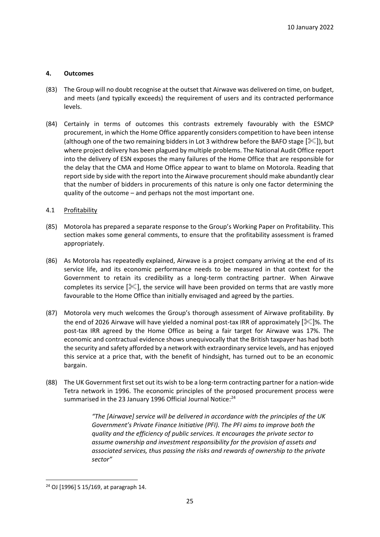# <span id="page-24-0"></span>**4. Outcomes**

- (83) The Group will no doubt recognise at the outset that Airwave was delivered on time, on budget, and meets (and typically exceeds) the requirement of users and its contracted performance levels.
- (84) Certainly in terms of outcomes this contrasts extremely favourably with the ESMCP procurement, in which the Home Office apparently considers competition to have been intense (although one of the two remaining bidders in Lot 3 withdrew before the BAFO stage  $[\mathcal{K}]]$ , but where project delivery has been plagued by multiple problems. The National Audit Office report into the delivery of ESN exposes the many failures of the Home Office that are responsible for the delay that the CMA and Home Office appear to want to blame on Motorola. Reading that report side by side with the report into the Airwave procurement should make abundantly clear that the number of bidders in procurements of this nature is only one factor determining the quality of the outcome – and perhaps not the most important one.
- <span id="page-24-1"></span>4.1 Profitability
- (85) Motorola has prepared a separate response to the Group's Working Paper on Profitability. This section makes some general comments, to ensure that the profitability assessment is framed appropriately.
- (86) As Motorola has repeatedly explained, Airwave is a project company arriving at the end of its service life, and its economic performance needs to be measured in that context for the Government to retain its credibility as a long-term contracting partner. When Airwave completes its service  $[\mathcal{K}]$ , the service will have been provided on terms that are vastly more favourable to the Home Office than initially envisaged and agreed by the parties.
- (87) Motorola very much welcomes the Group's thorough assessment of Airwave profitability. By the end of 2026 Airwave will have yielded a nominal post-tax IRR of approximately  $\ll$  %. The post-tax IRR agreed by the Home Office as being a fair target for Airwave was 17%. The economic and contractual evidence shows unequivocally that the British taxpayer has had both the security and safety afforded by a network with extraordinary service levels, and has enjoyed this service at a price that, with the benefit of hindsight, has turned out to be an economic bargain.
- (88) The UK Government first set out its wish to be a long-term contracting partner for a nation-wide Tetra network in 1996. The economic principles of the proposed procurement process were summarised in the 23 January 1996 Official Journal Notice:<sup>24</sup>

*"The [Airwave] service will be delivered in accordance with the principles of the UK Government's Private Finance Initiative (PFI). The PFI aims to improve both the quality and the efficiency of public services. It encourages the private sector to assume ownership and investment responsibility for the provision of assets and associated services, thus passing the risks and rewards of ownership to the private sector"*

<sup>24</sup> OJ [1996] S 15/169, at paragraph 14.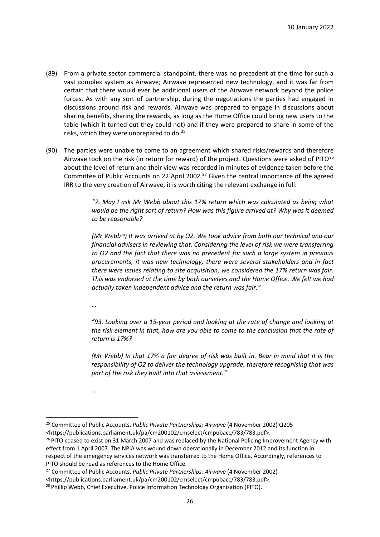- (89) From a private sector commercial standpoint, there was no precedent at the time for such a vast complex system as Airwave; Airwave represented new technology, and it was far from certain that there would ever be additional users of the Airwave network beyond the police forces. As with any sort of partnership, during the negotiations the parties had engaged in discussions around risk and rewards. Airwave was prepared to engage in discussions about sharing benefits, sharing the rewards, as long as the Home Office could bring new users to the table (which it turned out they could not) and if they were prepared to share in some of the risks, which they were unprepared to do.<sup>25</sup>
- (90) The parties were unable to come to an agreement which shared risks/rewards and therefore Airwave took on the risk (in return for reward) of the project. Questions were asked of PITO<sup>26</sup> about the level of return and their view was recorded in minutes of evidence taken before the Committee of Public Accounts on 22 April 2002.<sup>27</sup> Given the central importance of the agreed IRR to the very creation of Airwave, it is worth citing the relevant exchange in full:

*"7. May I ask Mr Webb about this 17% return which was calculated as being what would be the right sort of return? How was this figure arrived at? Why was it deemed to be reasonable?*

*(Mr Webb*28*) It was arrived at by O2. We took advice from both our technical and our financial advisers in reviewing that. Considering the level of risk we were transferring to O2 and the fact that there was no precedent for such a large system in previous procurements, it was new technology, there were several stakeholders and in fact there were issues relating to site acquisition, we considered the 17% return was fair. This was endorsed at the time by both ourselves and the Home Office. We felt we had actually taken independent advice and the return was fair."*

*…*

*"93. Looking over a 15-year period and looking at the rate of change and looking at the risk element in that, how are you able to come to the conclusion that the rate of return is 17%?*

*(Mr Webb) In that 17% a fair degree of risk was built in. Bear in mind that it is the responsibility of O2 to deliver the technology upgrade, therefore recognising that was part of the risk they built into that assessment."*

*…*

<sup>25</sup> Committee of Public Accounts, *Public Private Partnerships: Airwave* (4 November 2002) Q205 [<https://publications.parliament.uk/pa/cm200102/cmselect/cmpubacc/783/783.pdf>](https://publications.parliament.uk/pa/cm200102/cmselect/cmpubacc/783/783.pdf).

<sup>&</sup>lt;sup>26</sup> PITO ceased to exist on 31 March 2007 and was replaced by the National Policing Improvement Agency with effect from 1 April 2007. The NPIA was wound down operationally in December 2012 and its function in respect of the emergency services network was transferred to the Home Office. Accordingly, references to PITO should be read as references to the Home Office.

<sup>27</sup> Committee of Public Accounts, *Public Private Partnerships: Airwave* (4 November 2002)

<sup>&</sup>lt;https://publications.parliament.uk/pa/cm200102/cmselect/cmpubacc/783/783.pdf>.

<sup>&</sup>lt;sup>28</sup> Phillip Webb, Chief Executive, Police Information Technology Organisation (PITO).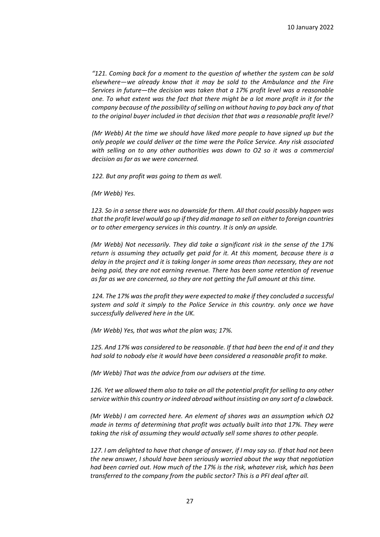*"121. Coming back for a moment to the question of whether the system can be sold elsewhere—we already know that it may be sold to the Ambulance and the Fire Services in future—the decision was taken that a 17% profit level was a reasonable one. To what extent was the fact that there might be a lot more profit in it for the company because of the possibility of selling on without having to pay back any of that to the original buyer included in that decision that that was a reasonable profit level?* 

*(Mr Webb) At the time we should have liked more people to have signed up but the only people we could deliver at the time were the Police Service. Any risk associated with selling on to any other authorities was down to O2 so it was a commercial decision as far as we were concerned.*

*122. But any profit was going to them as well.*

*(Mr Webb) Yes.*

*123. So in a sense there was no downside for them. All that could possibly happen was that the profit level would go up if they did manage to sell on either to foreign countries or to other emergency services in this country. It is only an upside.*

*(Mr Webb) Not necessarily. They did take a significant risk in the sense of the 17% return is assuming they actually get paid for it. At this moment, because there is a delay in the project and it is taking longer in some areas than necessary, they are not being paid, they are not earning revenue. There has been some retention of revenue as far as we are concerned, so they are not getting the full amount at this time.*

*124. The 17% was the profit they were expected to make if they concluded a successful system and sold it simply to the Police Service in this country. only once we have successfully delivered here in the UK.*

*(Mr Webb) Yes, that was what the plan was; 17%.*

*125. And 17% was considered to be reasonable. If that had been the end of it and they had sold to nobody else it would have been considered a reasonable profit to make.*

*(Mr Webb) That was the advice from our advisers at the time.*

*126. Yet we allowed them also to take on all the potential profit for selling to any other service within this country or indeed abroad without insisting on any sort of a clawback.*

*(Mr Webb) I am corrected here. An element of shares was an assumption which O2 made in terms of determining that profit was actually built into that 17%. They were taking the risk of assuming they would actually sell some shares to other people.*

*127. I am delighted to have that change of answer, if I may say so. If that had not been the new answer, I should have been seriously worried about the way that negotiation had been carried out. How much of the 17% is the risk, whatever risk, which has been transferred to the company from the public sector? This is a PFI deal after all.*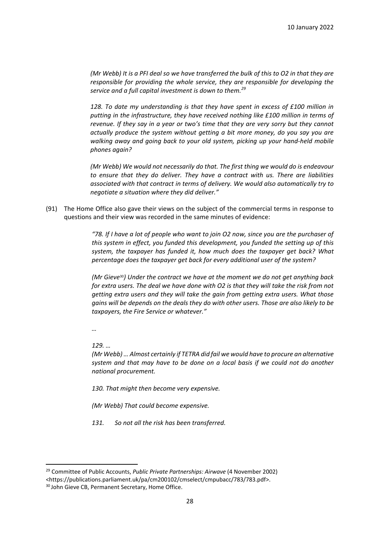*(Mr Webb) It is a PFI deal so we have transferred the bulk of this to O2 in that they are responsible for providing the whole service, they are responsible for developing the service and a full capital investment is down to them.<sup>29</sup>*

*128. To date my understanding is that they have spent in excess of £100 million in putting in the infrastructure, they have received nothing like £100 million in terms of revenue. If they say in a year or two's time that they are very sorry but they cannot actually produce the system without getting a bit more money, do you say you are walking away and going back to your old system, picking up your hand-held mobile phones again?*

*(Mr Webb) We would not necessarily do that. The first thing we would do is endeavour to ensure that they do deliver. They have a contract with us. There are liabilities associated with that contract in terms of delivery. We would also automatically try to negotiate a situation where they did deliver."*

(91) The Home Office also gave their views on the subject of the commercial terms in response to questions and their view was recorded in the same minutes of evidence:

> *"78. If I have a lot of people who want to join O2 now, since you are the purchaser of this system in effect, you funded this development, you funded the setting up of this system, the taxpayer has funded it, how much does the taxpayer get back? What percentage does the taxpayer get back for every additional user of the system?*

> *(Mr Gieve*30*) Under the contract we have at the moment we do not get anything back for extra users. The deal we have done with O2 is that they will take the risk from not getting extra users and they will take the gain from getting extra users. What those gains will be depends on the deals they do with other users. Those are also likely to be taxpayers, the Fire Service or whatever."*

*…*

*129. …*

*(Mr Webb) … Almost certainly if TETRA did fail we would have to procure an alternative system and that may have to be done on a local basis if we could not do another national procurement.*

*130. That might then become very expensive.*

*(Mr Webb) That could become expensive.*

*131. So not all the risk has been transferred.*

<sup>29</sup> Committee of Public Accounts, *Public Private Partnerships: Airwave* (4 November 2002)

[<sup>&</sup>lt;https://publications.parliament.uk/pa/cm200102/cmselect/cmpubacc/783/783.pdf>](https://publications.parliament.uk/pa/cm200102/cmselect/cmpubacc/783/783.pdf).

<sup>&</sup>lt;sup>30</sup> John Gieve CB, Permanent Secretary, Home Office.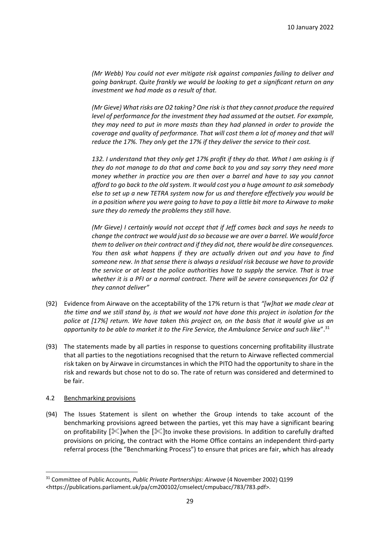*(Mr Webb) You could not ever mitigate risk against companies failing to deliver and going bankrupt. Quite frankly we would be looking to get a significant return on any investment we had made as a result of that.*

*(Mr Gieve) What risks are O2 taking? One risk is that they cannot produce the required level of performance for the investment they had assumed at the outset. For example, they may need to put in more masts than they had planned in order to provide the coverage and quality of performance. That will cost them a lot of money and that will reduce the 17%. They only get the 17% if they deliver the service to their cost.*

132. I understand that they only get 17% profit if they do that. What I am asking is if *they do not manage to do that and come back to you and say sorry they need more money whether in practice you are then over a barrel and have to say you cannot afford to go back to the old system. It would cost you a huge amount to ask somebody else to set up a new TETRA system now for us and therefore effectively you would be in a position where you were going to have to pay a little bit more to Airwave to make sure they do remedy the problems they still have.*

*(Mr Gieve) I certainly would not accept that if Jeff comes back and says he needs to change the contract we would just do so because we are over a barrel. We would force them to deliver on their contract and if they did not, there would be dire consequences. You then ask what happens if they are actually driven out and you have to find someone new. In that sense there is always a residual risk because we have to provide the service or at least the police authorities have to supply the service. That is true whether it is a PFI or a normal contract. There will be severe consequences for O2 if they cannot deliver"*

- (92) Evidence from Airwave on the acceptability of the 17% return is that *"[w]hat we made clear at the time and we still stand by, is that we would not have done this project in isolation for the police at [17%] return. We have taken this project on, on the basis that it would give us an opportunity to be able to market it to the Fire Service, the Ambulance Service and such like*". 31
- (93) The statements made by all parties in response to questions concerning profitability illustrate that all parties to the negotiations recognised that the return to Airwave reflected commercial risk taken on by Airwave in circumstances in which the PITO had the opportunity to share in the risk and rewards but chose not to do so. The rate of return was considered and determined to be fair.

#### <span id="page-28-0"></span>4.2 Benchmarking provisions

<span id="page-28-1"></span>(94) The Issues Statement is silent on whether the Group intends to take account of the benchmarking provisions agreed between the parties, yet this may have a significant bearing on profitability  $[\mathcal{K}]$  when the  $[\mathcal{K}]$ to invoke these provisions. In addition to carefully drafted provisions on pricing, the contract with the Home Office contains an independent third-party referral process (the "Benchmarking Process") to ensure that prices are fair, which has already

<sup>31</sup> Committee of Public Accounts, *Public Private Partnerships: Airwave* (4 November 2002) Q199 [<https://publications.parliament.uk/pa/cm200102/cmselect/cmpubacc/783/783.pdf>](https://publications.parliament.uk/pa/cm200102/cmselect/cmpubacc/783/783.pdf).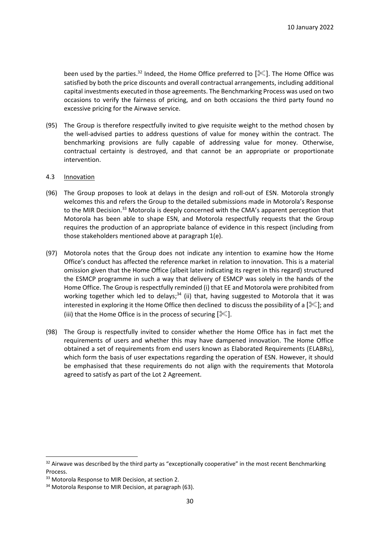been used by the parties.<sup>32</sup> Indeed, the Home Office preferred to  $[$   $\&$ ]. The Home Office was satisfied by both the price discounts and overall contractual arrangements, including additional capital investments executed in those agreements. The Benchmarking Process was used on two occasions to verify the fairness of pricing, and on both occasions the third party found no excessive pricing for the Airwave service.

<span id="page-29-4"></span>(95) The Group is therefore respectfully invited to give requisite weight to the method chosen by the well-advised parties to address questions of value for money within the contract. The benchmarking provisions are fully capable of addressing value for money. Otherwise, contractual certainty is destroyed, and that cannot be an appropriate or proportionate intervention.

# <span id="page-29-0"></span>4.3 Innovation

- <span id="page-29-2"></span>(96) The Group proposes to look at delays in the design and roll-out of ESN. Motorola strongly welcomes this and refers the Group to the detailed submissions made in Motorola's Response to the MIR Decision.<sup>33</sup> Motorola is deeply concerned with the CMA's apparent perception that Motorola has been able to shape ESN, and Motorola respectfully requests that the Group requires the production of an appropriate balance of evidence in this respect (including from those stakeholders mentioned above at paragraph [1\(e\).](#page-2-1)
- (97) Motorola notes that the Group does not indicate any intention to examine how the Home Office's conduct has affected the reference market in relation to innovation. This is a material omission given that the Home Office (albeit later indicating its regret in this regard) structured the ESMCP programme in such a way that delivery of ESMCP was solely in the hands of the Home Office. The Group is respectfully reminded (i) that EE and Motorola were prohibited from working together which led to delays;<sup>34</sup> (ii) that, having suggested to Motorola that it was interested in exploring it the Home Office then declined to discuss the possibility of a  $[\mathcal{K}]$ ; and (iii) that the Home Office is in the process of securing  $[\mathcal{K}]$ .
- <span id="page-29-3"></span>(98) The Group is respectfully invited to consider whether the Home Office has in fact met the requirements of users and whether this may have dampened innovation. The Home Office obtained a set of requirements from end users known as Elaborated Requirements (ELABRs), which form the basis of user expectations regarding the operation of ESN. However, it should be emphasised that these requirements do not align with the requirements that Motorola agreed to satisfy as part of the Lot 2 Agreement.

<span id="page-29-1"></span><sup>&</sup>lt;sup>32</sup> Airwave was described by the third party as "exceptionally cooperative" in the most recent Benchmarking Process.

<sup>&</sup>lt;sup>33</sup> Motorola Response to MIR Decision, at section 2.

<sup>&</sup>lt;sup>34</sup> Motorola Response to MIR Decision, at paragraph (63).